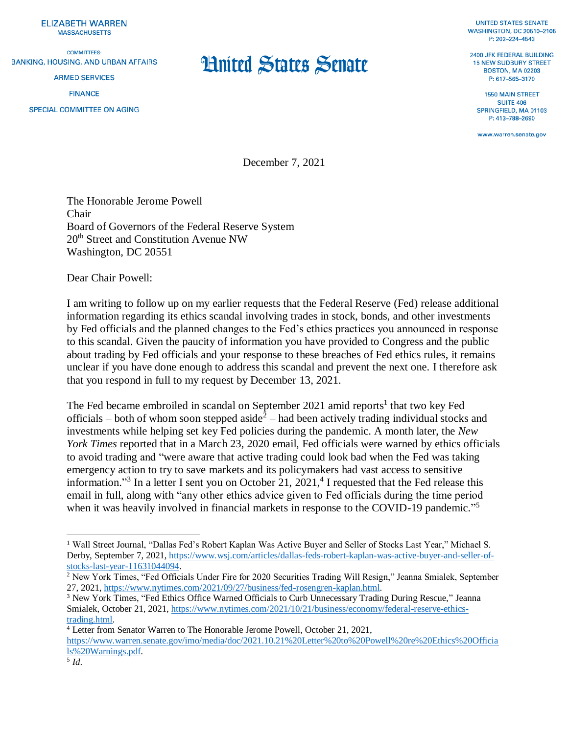**ELIZABETH WARREN MASSACHUSETTS** 

**COMMITTEES: BANKING, HOUSING, AND URBAN AFFAIRS ARMED SERVICES FINANCE** SPECIAL COMMITTEE ON AGING

## **Hnited States Senate**

**UNITED STATES SENATE WASHINGTON, DC 20510-2105** P: 202-224-4543

2400 JEK FEDERAL BUILDING **15 NEW SUDBURY STREET BOSTON, MA 02203** P: 617-565-3170

**1550 MAIN STREET SUITE 406** SPRINGFIELD, MA 01103 P: 413-788-2690

www.warren.senate.gov

December 7, 2021

The Honorable Jerome Powell Chair Board of Governors of the Federal Reserve System 20<sup>th</sup> Street and Constitution Avenue NW Washington, DC 20551

Dear Chair Powell:

I am writing to follow up on my earlier requests that the Federal Reserve (Fed) release additional information regarding its ethics scandal involving trades in stock, bonds, and other investments by Fed officials and the planned changes to the Fed's ethics practices you announced in response to this scandal. Given the paucity of information you have provided to Congress and the public about trading by Fed officials and your response to these breaches of Fed ethics rules, it remains unclear if you have done enough to address this scandal and prevent the next one. I therefore ask that you respond in full to my request by December 13, 2021.

The Fed became embroiled in scandal on September 2021 amid reports<sup>1</sup> that two key Fed officials – both of whom soon stepped aside<sup>2</sup> – had been actively trading individual stocks and investments while helping set key Fed policies during the pandemic. A month later, the *New York Times* reported that in a March 23, 2020 email, Fed officials were warned by ethics officials to avoid trading and "were aware that active trading could look bad when the Fed was taking emergency action to try to save markets and its policymakers had vast access to sensitive information."<sup>3</sup> In a letter I sent you on October 21,  $2021<sup>4</sup>$  I requested that the Fed release this email in full, along with "any other ethics advice given to Fed officials during the time period when it was heavily involved in financial markets in response to the COVID-19 pandemic."<sup>5</sup>

<sup>4</sup> Letter from Senator Warren to The Honorable Jerome Powell, October 21, 2021,

 $\overline{a}$ <sup>1</sup> Wall Street Journal, "Dallas Fed's Robert Kaplan Was Active Buyer and Seller of Stocks Last Year," Michael S. Derby, September 7, 2021, [https://www.wsj.com/articles/dallas-feds-robert-kaplan-was-active-buyer-and-seller-of](https://www.wsj.com/articles/dallas-feds-robert-kaplan-was-active-buyer-and-seller-of-stocks-last-year-11631044094)[stocks-last-year-11631044094.](https://www.wsj.com/articles/dallas-feds-robert-kaplan-was-active-buyer-and-seller-of-stocks-last-year-11631044094)

<sup>&</sup>lt;sup>2</sup> New York Times, "Fed Officials Under Fire for 2020 Securities Trading Will Resign," Jeanna Smialek, September 27, 2021, [https://www.nytimes.com/2021/09/27/business/fed-rosengren-kaplan.html.](https://www.nytimes.com/2021/09/27/business/fed-rosengren-kaplan.html)

<sup>3</sup> New York Times, "Fed Ethics Office Warned Officials to Curb Unnecessary Trading During Rescue," Jeanna Smialek, October 21, 2021[, https://www.nytimes.com/2021/10/21/business/economy/federal-reserve-ethics](https://www.nytimes.com/2021/10/21/business/economy/federal-reserve-ethics-trading.html)[trading.html.](https://www.nytimes.com/2021/10/21/business/economy/federal-reserve-ethics-trading.html)

[https://www.warren.senate.gov/imo/media/doc/2021.10.21%20Letter%20to%20Powell%20re%20Ethics%20Officia](https://www.warren.senate.gov/imo/media/doc/2021.10.21%20Letter%20to%20Powell%20re%20Ethics%20Officials%20Warnings.pdf) [ls%20Warnings.pdf.](https://www.warren.senate.gov/imo/media/doc/2021.10.21%20Letter%20to%20Powell%20re%20Ethics%20Officials%20Warnings.pdf)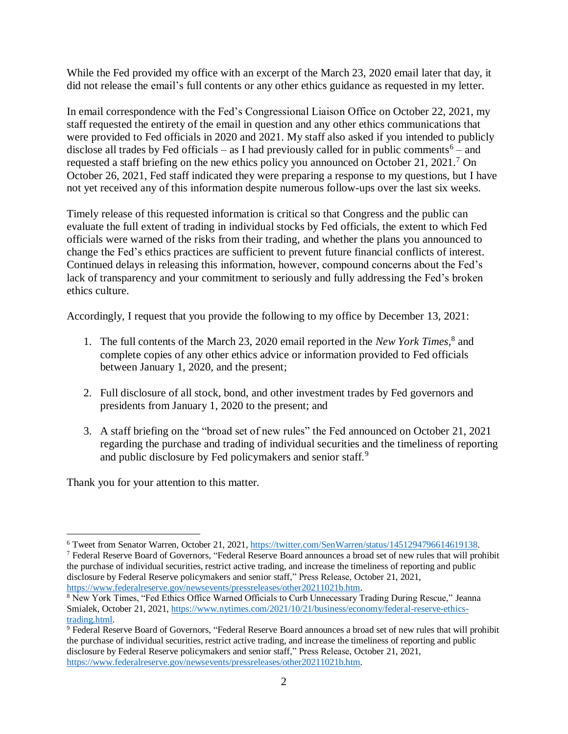While the Fed provided my office with an excerpt of the March 23, 2020 email later that day, it did not release the email's full contents or any other ethics guidance as requested in my letter.

In email correspondence with the Fed's Congressional Liaison Office on October 22, 2021, my staff requested the entirety of the email in question and any other ethics communications that were provided to Fed officials in 2020 and 2021. My staff also asked if you intended to publicly disclose all trades by Fed officials – as I had previously called for in public comments<sup>6</sup> – and requested a staff briefing on the new ethics policy you announced on October 21, 2021.<sup>7</sup> On October 26, 2021, Fed staff indicated they were preparing a response to my questions, but I have not yet received any of this information despite numerous follow-ups over the last six weeks.

Timely release of this requested information is critical so that Congress and the public can evaluate the full extent of trading in individual stocks by Fed officials, the extent to which Fed officials were warned of the risks from their trading, and whether the plans you announced to change the Fed's ethics practices are sufficient to prevent future financial conflicts of interest. Continued delays in releasing this information, however, compound concerns about the Fed's lack of transparency and your commitment to seriously and fully addressing the Fed's broken ethics culture.

Accordingly, I request that you provide the following to my office by December 13, 2021:

- 1. The full contents of the March 23, 2020 email reported in the *New York Times,* 8 and complete copies of any other ethics advice or information provided to Fed officials between January 1, 2020, and the present;
- 2. Full disclosure of all stock, bond, and other investment trades by Fed governors and presidents from January 1, 2020 to the present; and
- 3. A staff briefing on the "broad set of new rules" the Fed announced on October 21, 2021 regarding the purchase and trading of individual securities and the timeliness of reporting and public disclosure by Fed policymakers and senior staff.<sup>9</sup>

Thank you for your attention to this matter.

<sup>7</sup> Federal Reserve Board of Governors, "Federal Reserve Board announces a broad set of new rules that will prohibit the purchase of individual securities, restrict active trading, and increase the timeliness of reporting and public disclosure by Federal Reserve policymakers and senior staff," Press Release, October 21, 2021, [https://www.federalreserve.gov/newsevents/pressreleases/other20211021b.htm.](https://www.federalreserve.gov/newsevents/pressreleases/other20211021b.htm)

<sup>9</sup> Federal Reserve Board of Governors, "Federal Reserve Board announces a broad set of new rules that will prohibit the purchase of individual securities, restrict active trading, and increase the timeliness of reporting and public disclosure by Federal Reserve policymakers and senior staff," Press Release, October 21, 2021, [https://www.federalreserve.gov/newsevents/pressreleases/other20211021b.htm.](https://www.federalreserve.gov/newsevents/pressreleases/other20211021b.htm)

 $\overline{a}$ <sup>6</sup> Tweet from Senator Warren, October 21, 2021, [https://twitter.com/SenWarren/status/1451294796614619138.](https://twitter.com/SenWarren/status/1451294796614619138)

<sup>&</sup>lt;sup>8</sup> New York Times, "Fed Ethics Office Warned Officials to Curb Unnecessary Trading During Rescue," Jeanna Smialek, October 21, 2021[, https://www.nytimes.com/2021/10/21/business/economy/federal-reserve-ethics](https://www.nytimes.com/2021/10/21/business/economy/federal-reserve-ethics-trading.html)[trading.html.](https://www.nytimes.com/2021/10/21/business/economy/federal-reserve-ethics-trading.html)